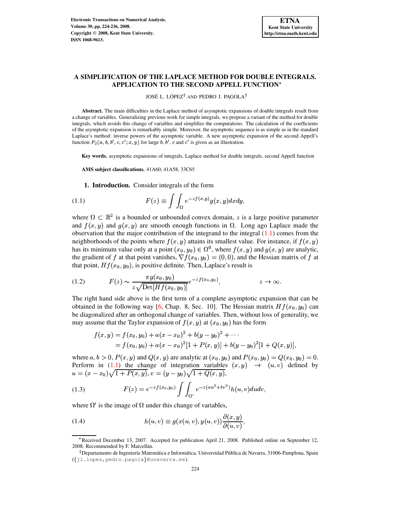# **A SIMPLIFICATION OF THE LAPLACE METHOD FOR DOUBLE INTEGRALS. APPLICATION TO THE SECOND APPELL FUNCTION**

JOSÉ L. LÓPEZ<sup>†</sup> AND PEDRO J. PAGOLA<sup>†</sup>

**Abstract.** The main difficulties in the Laplace method of asymptotic expansions of double integrals result from a change of variables. Generalizing previous work for simple integrals, we propose a variant of the method for double integrals, which avoids this change of variables and simplifies the computations. The calculation of the coefficients of the asymptotic expansion is remarkably simple. Moreover, the asymptotic sequence is as simple as in the standard Laplace's method: inverse powers of the asymptotic variable. A new asymptotic expansion of the second Appell's function  $F_2(a, b, b', c, c'; x, y)$  for large b, b', c and c' is given as an illustration.

**Key words.** asymptotic expansions of integrals, Laplace method for double integrals, second Appell function

**AMS subject classifications.** 41A60, 41A58, 33C65

<span id="page-0-0"></span>**1. Introduction.** Consider integrals of the form

(1.1) 
$$
F(z) \equiv \int \int_{\Omega} e^{-z f(x, y)} g(x, y) dx dy,
$$

where  $\Omega \subset \mathbb{R}^2$  is a bounded or unbounded convex domain, z is a large positive parameter and  $f(x, y)$  and  $g(x, y)$  are smooth enough functions in  $\Omega$ . Long ago Laplace made the observation that the major contribution of the integrand to the integral [\(1.1\)](#page-0-0) comes from the neighborhoods of the points where  $f(x, y)$  attains its smallest value. For instance, if  $f(x, y)$ has its minimum value only at a point  $(x_0, y_0) \in \Omega^0$ , where  $f(x, y)$  and  $g(x, y)$  are analytic, the gradient of f at that point vanishes,  $\nabla f(x_0, y_0) = (0, 0)$ , and the Hessian matrix of f at that point,  $Hf(x_0,y_0)$ , is positive definite. Then, Laplace's result is

(1.2) 
$$
F(z) \sim \frac{\pi g(x_0, y_0)}{z \sqrt{\text{Det}[Hf(x_0, y_0)]}} e^{-zf(x_0, y_0)}, \qquad z \to \infty.
$$

The right hand side above is the first term of a complete asymptotic expansion that can be obtained in the following way [\[6,](#page-12-0) Chap. 8, Sec. 10]. The Hessian matrix  $Hf(x_0, y_0)$  can be diagonalized after an orthogonal change of variables. Then, without loss of generality, we may assume that the Taylor expansion of  $f(x, y)$  at  $(x_0, y_0)$  has the form

$$
f(x,y) = f(x_0, y_0) + a(x - x_0)^2 + b(y - y_0)^2 + \cdots
$$
  
=  $f(x_0, y_0) + a(x - x_0)^2[1 + P(x, y)] + b(y - y_0)^2[1 + Q(x, y)],$ 

where  $a, b > 0$ ,  $P(x, y)$  and  $Q(x, y)$  are analytic at  $(x_0, y_0)$  and  $P(x_0, y_0) = Q(x_0, y_0) = 0$ . Perform in [\(1.1\)](#page-0-0) the change of integration variables  $(x,y) \rightarrow (u,v)$  defined by  $u = (x - x_0)\sqrt{1 + P(x, y)}, v = (y - y_0)\sqrt{1 + Q(x, y)},$ 

<span id="page-0-1"></span>(1.3) 
$$
F(z) = e^{-z f(x_0, y_0)} \int \int_{\Omega'} e^{-z (au^2 + bv^2)} h(u, v) du dv,
$$

where  $\Omega'$  is the image of  $\Omega$  under this change of variables,

(1.4) 
$$
h(u,v) \equiv g(x(u,v), y(u,v)) \frac{\partial(x,y)}{\partial(u,v)},
$$

<sup>\*</sup>Received December 13, 2007. Accepted for publication April 21, 2008. Published online on September 12, 2008. Recommended by F. Marcellán.

<sup>&</sup>lt;sup>†</sup> Departamento de Ingeniería Matemática e Informática, Universidad Pública de Navarra, 31006-Pamplona, Spain ({jl.lopez,pedro.pagola}@unavarra.es).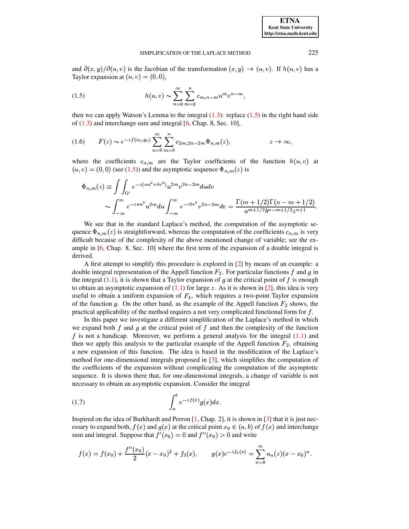and  $\partial(x, y)/\partial(u, v)$  is the Jacobian of the transformation  $(x, y) \rightarrow (u, v)$ . If  $h(u, v)$  has a Taylor expansion at  $(u, v) = (0, 0)$ ,

<span id="page-1-0"></span>(1.5) 
$$
h(u,v) \sim \sum_{n=0}^{\infty} \sum_{m=0}^{n} c_{m,n-m} u^{m} v^{n-m},
$$

then we can apply Watson's Lemma to the integral  $(1.3)$ : replace  $(1.5)$  in the right hand side of  $(1.3)$  and interchange sum and integral [6, Chap. 8, Sec. 10],

(1.6) 
$$
F(z) \sim e^{-z f(x_0, y_0)} \sum_{n=0}^{\infty} \sum_{m=0}^{n} c_{2m, 2n-2m} \Phi_{n,m}(z), \qquad z \to \infty
$$

where the coefficients  $c_{n,m}$  are the Taylor coefficients of the function  $h(u, v)$  at  $(u, v) = (0, 0)$  (see (1.5)) and the asymptotic sequence  $\Phi_{n,m}(z)$  is

$$
\Phi_{n,m}(z) \equiv \int \int_{\Omega'} e^{-z(au^2 + bv^2)} u^{2m} v^{2n - 2m} du dv
$$
  
 
$$
\sim \int_{-\infty}^{\infty} e^{-zau^2} u^{2m} du \int_{-\infty}^{\infty} e^{-zbv^2} v^{2n - 2m} dv = \frac{\Gamma(m + 1/2)\Gamma(n - m + 1/2)}{a^{m + 1/2} b^{n - m + 1/2} z^{n + 1}}
$$

We see that in the standard Laplace's method, the computation of the asymptotic sequence  $\Phi_{n,m}(z)$  is straightforward, whereas the computation of the coefficients  $c_{n,m}$  is very difficult because of the complexity of the above mentioned change of variable; see the example in  $[6, Chap. 8, Sec. 10]$  where the first term of the expansion of a double integral is derived.

A first attempt to simplify this procedure is explored in [2] by means of an example: a double integral representation of the Appell function  $F_2$ . For particular functions f and g in the integral  $(1.1)$ , it is shown that a Taylor expansion of q at the critical point of f is enough to obtain an asymptotic expansion of  $(1.1)$  for large z. As it is shown in [2], this idea is very useful to obtain a uniform expansion of  $F_4$ , which requires a two-point Taylor expansion of the function g. On the other hand, as the example of the Appell function  $F_2$  shows, the practical applicability of the method requires a not very complicated functional form for  $f$ .

In this paper we investigate a different simplification of the Laplace's method in which we expand both  $f$  and  $g$  at the critical point of  $f$  and then the complexity of the function f is not a handicap. Moreover, we perform a general analysis for the integral  $(1.1)$  and then we apply this analysis to the particular example of the Appell function  $F_2$ , obtaining a new expansion of this function. The idea is based in the modification of the Laplace's method for one-dimensional integrals proposed in [3], which simplifies the computation of the coefficients of the expansion without complicating the computation of the asymptotic sequence. It is shown there that, for one-dimensional integrals, a change of variable is not necessary to obtain an asymptotic expansion. Consider the integral

<span id="page-1-1"></span>
$$
(1.7)\qquad \qquad \int_{a}^{b} e^{-z f(x)} g(x) dx
$$

Inspired on the idea of Burkhardt and Perron  $[1, Chap. 2]$ , it is shown in  $[3]$  that it is just necessary to expand both,  $f(x)$  and  $g(x)$  at the critical point  $x_0 \in (a, b)$  of  $f(x)$  and interchange sum and integral. Suppose that  $f'(x_0) = 0$  and  $f''(x_0) > 0$  and write

$$
f(x) = f(x_0) + \frac{f''(x_0)}{2}(x - x_0)^2 + f_3(x), \qquad g(x)e^{-zf_3(x)} = \sum_{n=0}^{\infty} a_n(z)(x - x_0)^n.
$$

225

**ETNA Kent State University** http://etna.math.kent.edu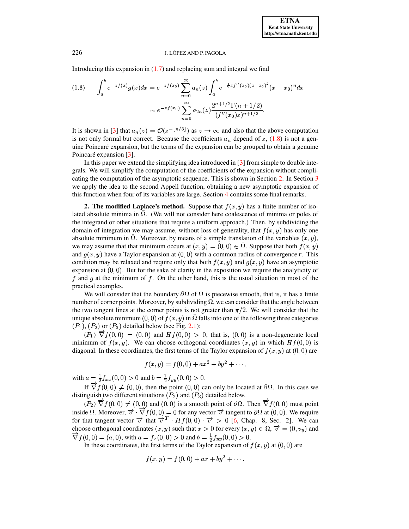Introducing this expansion in  $(1.7)$  and replacing sum and integral we find

<span id="page-2-0"></span>
$$
(1.8) \qquad \int_{a}^{b} e^{-zf(x)}g(x)dx = e^{-zf(x_{0})}\sum_{n=0}^{\infty}a_{n}(z)\int_{a}^{b} e^{-\frac{1}{2}zf''(x_{0})(x-x_{0})^{2}}(x-x_{0})^{n}dx
$$

$$
\sim e^{-zf(x_{0})}\sum_{n=0}^{\infty}a_{2n}(z)\frac{2^{n+1/2}\Gamma(n+1/2)}{(f''(x_{0})z)^{n+1/2}}.
$$

It is shown in [\[3\]](#page-12-2) that  $a_n(z) = \mathcal{O}(z^{-\lfloor n/3 \rfloor})$  as  $z \to \infty$  and also that the above computation is not only formal but correct. Because the coefficients  $a_n$  depend of z, [\(1.8\)](#page-2-0) is not a genuine Poincaré expansion, but the terms of the expansion can be grouped to obtain a genuine Poincaré expansion [\[3\]](#page-12-2).

In this paper we extend the simplifying idea introduced in [\[3\]](#page-12-2) from simple to double integrals. We will simplify the computation of the coefficients of the expansion without complicating the computation of the asymptotic sequence. This is shown in Section [2.](#page-2-1) In Section [3](#page-9-0) we apply the idea to the second Appell function, obtaining a new asymptotic expansion of this function when four of its variables are large. Section [4](#page-11-0) contains some final remarks.

<span id="page-2-1"></span>**2. The modified Laplace's method.** Suppose that  $f(x, y)$  has a finite number of isolated absolute minima in  $\Omega$ . (We will not consider here coalescence of minima or poles of the integrand or other situations that require a uniform approach.) Then, by subdividing the domain of integration we may assume, without loss of generality, that  $f(x, y)$  has only one absolute minimum in  $\overline{\Omega}$ . Moreover, by means of a simple translation of the variables  $(x, y)$ , we may assume that that minimum occurs at  $(x, y) = (0, 0) \in \Omega$ . Suppose that both  $f(x, y)$ and  $g(x, y)$  have a Taylor expansion at  $(0, 0)$  with a common radius of convergence r. This condition may be relaxed and require only that both  $f(x, y)$  and  $g(x, y)$  have an asymptotic expansion at  $(0, 0)$ . But for the sake of clarity in the exposition we require the analyticity of f and g at the minimum of f. On the other hand, this is the usual situation in most of the practical examples.

We will consider that the boundary  $\partial\Omega$  of  $\Omega$  is piecewise smooth, that is, it has a finite number of corner points. Moreover, by subdividing  $\Omega$ , we can consider that the angle between the two tangent lines at the corner points is not greater than  $\pi/2$ . We will consider that the unique absolute minimum  $(0,0)$  of  $f(x,y)$  in  $\Omega$  falls into one of the following three categories  $(P_1)$ ,  $(P_2)$  or  $(P_3)$  detailed below (see Fig. [2.1\)](#page-3-0):

 $(P_1) \overrightarrow{\nabla} f(0,0) = (0,0)$  and  $Hf(0,0) > 0$ , that is,  $(0,0)$  is a non-degenerate local minimum of  $f(x, y)$ . We can choose orthogonal coordinates  $(x, y)$  in which  $Hf(0, 0)$  is diagonal. In these coordinates, the first terms of the Taylor expansion of  $f(x, y)$  at  $(0, 0)$  are

$$
f(x,y) = f(0,0) + ax^2 + by^2 + \cdots,
$$

with  $a = \frac{1}{2} f_{xx}(0,0) > 0$  and  $b = \frac{1}{2} f_{yy}(0,0) > 0$ .

If  $\vec{\nabla} f(0,0) \neq (0,0)$ , then the point  $(0,0)$  can only be located at  $\partial \Omega$ . In this case we distinguish two different situations  $(P_2)$  and  $(P_3)$  detailed below.

 $(P_2) \overrightarrow{\nabla} f(0,0) \neq (0,0)$  and  $(0,0)$  is a smooth point of  $\partial \Omega$ . Then  $\overrightarrow{\nabla} f(0,0)$  must point inside  $\Omega$ . Moreover,  $\vec{v} \cdot \vec{\nabla} f(0,0) = 0$  for any vector  $\vec{v}$  tangent to  $\partial \Omega$  at  $(0,0)$ . We require for that tangent vector  $\vec{v}$  that  $\vec{v}^T \cdot Hf(0,0) \cdot \vec{v} > 0$  [\[6,](#page-12-0) Chap. 8, Sec. 2]. We can choose orthogonal coordinates  $(x, y)$  such that  $x > 0$  for every  $(x, y) \in \Omega$ ,  $\overrightarrow{v} = (0, v_y)$  and  $\nabla f(0,0) = (a,0)$ , with  $a = f_x(0,0) > 0$  and  $b = \frac{1}{2}f_{yy}(0,0) > 0$ .

In these coordinates, the first terms of the Taylor expansion of  $f(x, y)$  at  $(0, 0)$  are

$$
f(x,y) = f(0,0) + ax + by^2 + \cdots
$$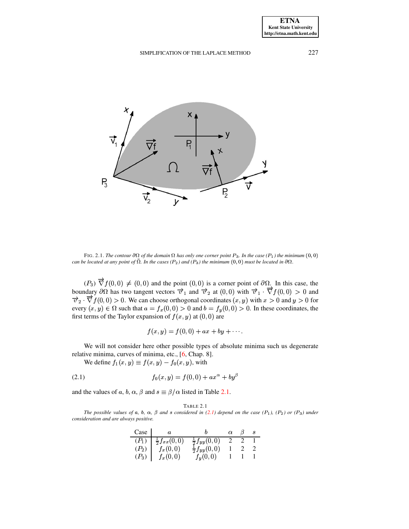

<span id="page-3-0"></span>FIG. 2.1. The contour  $\partial\Omega$  of the domain  $\Omega$  has only one corner point P<sub>3</sub>. In the case (P<sub>1</sub>) the minimum (0,0) can be located at any point of  $\overline{\Omega}$ . In the cases (P<sub>2</sub>) and (P<sub>3</sub>) the minimum  $(0, 0)$  must be located in  $\partial\Omega$ .

 $(P_3) \overrightarrow{\nabla} f(0,0) \neq (0,0)$  and the point  $(0,0)$  is a corner point of  $\partial\Omega$ . In this case, the boundary  $\partial\Omega$  has two tangent vectors  $\overrightarrow{v}_1$  and  $\overrightarrow{v}_2$  at  $(0,0)$  with  $\overrightarrow{v}_1 \cdot \overrightarrow{\nabla} f(0,0) > 0$  and  $\vec{v}_2$   $\vec{\nabla} f(0,0) > 0$ . We can choose orthogonal coordinates  $(x, y)$  with  $x > 0$  and  $y > 0$  for every  $(x, y) \in \Omega$  such that  $a = f_x(0, 0) > 0$  and  $b = f_y(0, 0) > 0$ . In these coordinates, the first terms of the Taylor expansion of  $f(x, y)$  at  $(0, 0)$  are

$$
f(x, y) = f(0, 0) + ax + by + \cdots.
$$

We will not consider here other possible types of absolute minima such us degenerate relative minima, curves of minima, etc., [6, Chap. 8].

<span id="page-3-2"></span>We define  $f_1(x, y) \equiv f(x, y) - f_0(x, y)$ , with

(2.1) 
$$
f_0(x,y) = f(0,0) + ax^{\alpha} + by^{\beta}
$$

and the values of a, b,  $\alpha$ ,  $\beta$  and  $s \equiv \beta/\alpha$  listed in Table 2.1.

TABLE 2.1

<span id="page-3-1"></span>The possible values of a, b,  $\alpha$ ,  $\beta$  and s considered in (2.1) depend on the case (P<sub>1</sub>), (P<sub>2</sub>) or (P<sub>3</sub>) under consideration and are always positive.

| Case    |                           |                           |  |  |
|---------|---------------------------|---------------------------|--|--|
| $(P_1)$ | $-\frac{1}{2}f_{xx}(0,0)$ | $\frac{1}{2}f_{yy}(0,0)$  |  |  |
| $(P_2)$ | $f_x(0,0)$                | $\frac{1}{2} f_{yy}(0,0)$ |  |  |
| $(P_3)$ | $f_x(0,0)$                | $f_u(0,0)$                |  |  |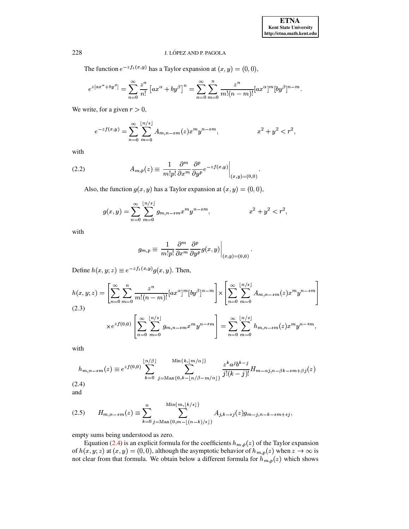The function  $e^{-z f_1(x,y)}$  has a Taylor expansion at  $(x, y) = (0, 0)$ ,

$$
e^{z[a x^{\alpha}+b y^{\beta}]}=\sum_{n=0}^{\infty}\frac{z^n}{n!}\left[a x^{\alpha}+b y^{\beta}\right]^n=\sum_{n=0}^{\infty}\sum_{m=0}^{n}\frac{z^n}{m!(n-m)!}[ax^{\alpha}]^m [by^{\beta}]^{n-m}.
$$

We write, for a given  $r > 0$ ,

$$
e^{-zf(x,y)} = \sum_{n=0}^{\infty} \sum_{m=0}^{\lfloor n/s \rfloor} A_{m,n-sm}(z) x^m y^{n-sm}, \qquad x^2 + y^2 < r^2,
$$

with

<span id="page-4-2"></span>(2.2) 
$$
A_{m,p}(z) \equiv \left. \frac{1}{m!p!} \frac{\partial^m}{\partial x^m} \frac{\partial^p}{\partial y^p} e^{-zf(x,y)} \right|_{(x,y)=(0,0)}.
$$

Also, the function  $g(x, y)$  has a Taylor expansion at  $(x, y) = (0, 0)$ ,

$$
g(x,y) = \sum_{n=0}^{\infty} \sum_{m=0}^{\lfloor n/s \rfloor} g_{m,n-sm} x^m y^{n-sm}, \qquad x^2 + y^2 < r^2,
$$

with

$$
g_{m,p} \equiv \left. \frac{1}{m!p!} \frac{\partial^m}{\partial x^m} \frac{\partial^p}{\partial y^p} g(x,y) \right|_{(x,y)=(0,0)}.
$$

Define  $h(x, y; z) \equiv e^{-z f_1(x, y)} g(x, y)$ . Then,

<span id="page-4-1"></span>
$$
h(x,y;z) = \left[\sum_{n=0}^{\infty} \sum_{m=0}^{n} \frac{z^n}{m!(n-m)!} [ax^{\alpha}]^m [by^{\beta}]^{n-m} \right] \times \left[\sum_{n=0}^{\infty} \sum_{m=0}^{\lfloor n/s \rfloor} A_{m,n-sm}(z) x^m y^{n-sm} \right]
$$
  
(2.3)  

$$
\times e^{zf(0,0)} \left[\sum_{n=0}^{\infty} \sum_{m=0}^{\lfloor n/s \rfloor} g_{m,n-sm} x^m y^{n-sm} \right] = \sum_{n=0}^{\infty} \sum_{m=0}^{\lfloor n/s \rfloor} h_{m,n-sm}(z) x^m y^{n-sm},
$$

with

<span id="page-4-0"></span>
$$
h_{m,n-sm}(z) \equiv e^{zf(0,0)} \sum_{k=0}^{\lfloor n/\beta \rfloor} \sum_{j=\text{Max}\{0,k-\lfloor n/\beta-m/\alpha\rfloor\}}^{\text{Min}\{k,\lfloor m/\alpha\rfloor\}} \frac{z^k a^j b^{k-j}}{j!(k-j)!} H_{m-\alpha j,n-\beta k-sm+\beta j}(z)
$$
\n(2.4)

and

<span id="page-4-3"></span>
$$
(2.5) \tH_{m,n-sm}(z) \equiv \sum_{k=0}^{n} \sum_{j=\text{Max}\{0,m-\lfloor (n-k)/s \rfloor\}}^{\text{Min}\{m,\lfloor k/s \rfloor\}} A_{j,k-sj}(z) g_{m-j,n-k-sm+sj},
$$

empty sums being understood as zero.

Equation (2.4) is an explicit formula for the coefficients  $h_{m,p}(z)$  of the Taylor expansion of  $h(x, y; z)$  at  $(x, y) = (0, 0)$ , although the asymptotic behavior of  $h_{m,p}(z)$  when  $z \to \infty$  is not clear from that formula. We obtain below a different formula for  $\hat{h}_{m,p}(z)$  which shows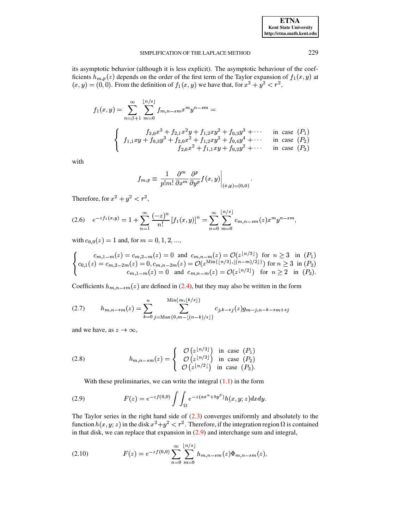| <b>ETNA</b>                  |  |  |  |  |
|------------------------------|--|--|--|--|
| <b>Kent State University</b> |  |  |  |  |
| http://etna.math.kent.edu    |  |  |  |  |

its asymptotic behavior (although it is less explicit). The asymptotic behaviour of the coefficients  $h_{m,p}(z)$  depends on the order of the first term of the Taylor expansion of  $f_1(x,y)$  at  $(x, y) = (0, 0)$ . From the definition of  $f_1(x, y)$  we have that, for  $x^2 + y^2 < r^2$ ,

$$
f_1(x,y) = \sum_{n=\beta+1}^{\infty} \sum_{m=0}^{\lfloor n/s \rfloor} f_{m,n-sm} x^m y^{n-sm} =
$$
  

$$
\begin{cases} f_{3,0} x^3 + f_{2,1} x^2 y + f_{1,2} xy^2 + f_{0,3} y^3 + \cdots & \text{in case } (P_1) \\ f_{1,1} xy + f_{0,3} y^3 + f_{2,0} x^2 + f_{1,2} xy^2 + f_{0,4} y^4 + \cdots & \text{in case } (P_2) \\ f_{2,0} x^2 + f_{1,1} xy + f_{0,2} y^2 + \cdots & \text{in case } (P_3) \end{cases}
$$

with

$$
f_{m,p} \equiv \left. \frac{1}{p!m!} \frac{\partial^m}{\partial x^m} \frac{\partial^p}{\partial y^p} f(x,y) \right|_{(x,y)=(0,0)}
$$

Therefore, for  $x^2 + y^2 < r^2$ ,

$$
(2.6) \quad e^{-zf_1(x,y)} = 1 + \sum_{n=1}^{\infty} \frac{(-z)^n}{n!} \left[f_1(x,y)\right]^n = \sum_{n=0}^{\infty} \sum_{m=0}^{\lfloor n/s \rfloor} c_{m,n-sm}(z) x^m y^{n-sm},
$$

with  $c_{0,0}(z) = 1$  and, for  $m = 0, 1, 2, ...$ ,

$$
\begin{cases}\nc_{m,1-m}(z) = c_{m,2-m}(z) = 0 \text{ and } c_{m,n-m}(z) = \mathcal{O}(z^{\lfloor n/3 \rfloor}) \text{ for } n \geq 3 \text{ in } (P_1) \\
c_{0,1}(z) = c_{m,2-2m}(z) = 0, c_{m,n-2m}(z) = \mathcal{O}(z^{\text{Min}\{\lfloor n/3 \rfloor, \lfloor (n-m)/2 \rfloor\}}) \text{ for } n \geq 3 \text{ in } (P_2) \\
c_{m,1-m}(z) = 0 \text{ and } c_{m,n-m}(z) = \mathcal{O}(z^{\lfloor n/2 \rfloor}) \text{ for } n \geq 2 \text{ in } (P_3).\n\end{cases}
$$

Coefficients  $h_{m,n-sm}(z)$  are defined in (2.4), but they may also be written in the form

$$
(2.7) \qquad h_{m,n-sm}(z) = \sum_{k=0}^{n} \sum_{j=\text{Max}\{0,m-\lfloor (n-k)/s \rfloor\}}^{\text{Min}\{m,\lfloor k/s \rfloor\}} c_{j,k-sj}(z) g_{m-j,n-k-sm+sj}
$$

and we have, as  $z \to \infty$ ,

<span id="page-5-2"></span>(2.8) 
$$
h_{m,n-sm}(z) = \begin{cases} \mathcal{O}(z^{\lfloor n/3 \rfloor}) & \text{in case } (P_1) \\ \mathcal{O}(z^{\lfloor n/3 \rfloor}) & \text{in case } (P_2) \\ \mathcal{O}(z^{\lfloor n/2 \rfloor}) & \text{in case } (P_3). \end{cases}
$$

With these preliminaries, we can write the integral  $(1.1)$  in the form

<span id="page-5-0"></span>(2.9) 
$$
F(z) = e^{-z f(0,0)} \int \int_{\Omega} e^{-z(a x^{\alpha} + b y^{\beta})} h(x, y; z) dx dy.
$$

The Taylor series in the right hand side of  $(2.3)$  converges uniformly and absolutely to the function  $h(x, y; z)$  in the disk  $x^2 + y^2 < r^2$ . Therefore, if the integration region  $\Omega$  is contained in that disk, we can replace that expansion in  $(2.9)$  and interchange sum and integral,

<span id="page-5-1"></span>(2.10) 
$$
F(z) = e^{-zf(0,0)} \sum_{n=0}^{\infty} \sum_{m=0}^{\lfloor n/s \rfloor} h_{m,n-sm}(z) \Phi_{m,n-sm}(z),
$$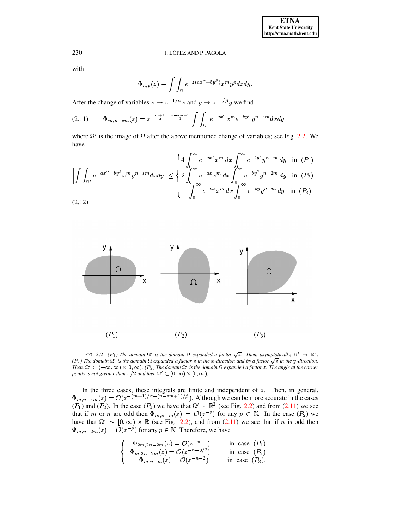with

$$
\Phi_{n,p}(z) \equiv \int \int_{\Omega} e^{-z(ax^{\alpha} + by^{\beta})} x^m y^p dx dy.
$$

After the change of variables  $x \to z^{-1/\alpha}x$  and  $y \to z^{-1/\beta}y$  we find

<span id="page-6-1"></span>
$$
(2.11) \qquad \Phi_{m,n-sm}(z) = z^{-\frac{m+1}{\alpha} - \frac{n-sm+1}{\beta}} \int \int_{\Omega'} e^{-ax^{\alpha}} x^m e^{-by^{\beta}} y^{n-sm} dx dy,
$$

where  $\Omega'$  is the image of  $\Omega$  after the above mentioned change of variables; see Fig. 2.2. We have  $\sim$ 

$$
\left| \int \int_{\Omega'} e^{-ax^{\alpha} - by^{\beta}} x^m y^{n-sm} dx dy \right| \leq \begin{cases} 4 \int_0^{\infty} e^{-ax^2} x^m dx \int_0^{\infty} e^{-by^2} y^{n-m} dy & \text{in } (P_1) \\ 2 \int_0^{\infty} e^{-ax} x^m dx \int_0^{\infty} e^{-by^2} y^{n-2m} dy & \text{in } (P_2) \\ \int_0^{\infty} e^{-ax} x^m dx \int_0^{\infty} e^{-by} y^{n-m} dy & \text{in } (P_3). \end{cases}
$$
\n(2.12)



<span id="page-6-0"></span>FIG. 2.2. (P<sub>1</sub>) The domain  $\Omega'$  is the domain  $\Omega$  expanded a factor  $\sqrt{z}$ . Then, asymptotically,  $\Omega' \to \mathbb{R}^2$ . (P<sub>2</sub>) The domain  $\Omega'$  is the domain  $\Omega$  expanded a factor z in the x-direction and by a factor  $\sqrt{z}$  in the y-direction. Then,  $\Omega' \subset (-\infty, \infty) \times [0, \infty)$ . (P<sub>3</sub>) The domain  $\Omega'$  is the domain  $\Omega$  expanded a factor z. The angle at the corner points is not greater than  $\pi/2$  and then  $\Omega' \subset [0,\infty) \times [0,\infty)$ .

In the three cases, these integrals are finite and independent of z. Then, in general,  $\Phi_{m,n-sm}(z) = \mathcal{O}(z^{-(m+1)/\alpha - (n-sm+1)/\beta})$ . Although we can be more accurate in the cases ( $P_1$ ) and ( $P_2$ ). In the case ( $P_1$ ) we have that if m or n are odd then  $\Phi_{m,n-m}(z) = \mathcal{O}(z^{-p})$  for any  $p \in \mathbb{N}$ . In the case  $(P_2)$  we have that  $\Omega' \sim [0,\infty) \times \mathbb{R}$  (see Fig. 2.2), and from (2.11) we see that if *n* is odd then  $\Phi_{m,n-2m}(z) = \mathcal{O}(z^{-p})$  for any  $p \in \mathbb{N}$ . Therefore, we have

$$
\begin{cases}\n\Phi_{2m,2n-2m}(z) = \mathcal{O}(z^{-n-1}) & \text{in case } (P_1) \\
\Phi_{m,2n-2m}(z) = \mathcal{O}(z^{-n-3/2}) & \text{in case } (P_2) \\
\Phi_{m,n-m}(z) = \mathcal{O}(z^{-n-2}) & \text{in case } (P_3).\n\end{cases}
$$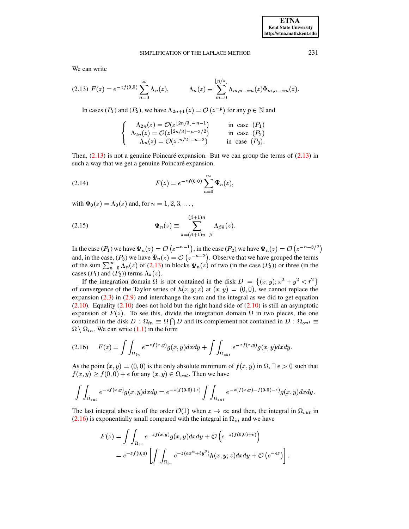We can write

<span id="page-7-0"></span>
$$
(2.13) \ F(z) = e^{-zf(0,0)} \sum_{n=0}^{\infty} \Lambda_n(z), \qquad \Lambda_n(z) \equiv \sum_{m=0}^{\lfloor n/s \rfloor} h_{m,n-sm}(z) \Phi_{m,n-sm}(z).
$$

In cases ( $P_1$ ) and ( $P_2$ ), we have  $\Lambda_{2n+1}(z) = \mathcal{O}(z^{-p})$  for any  $p \in \mathbb{N}$  and

$$
\begin{cases}\n\Lambda_{2n}(z) = \mathcal{O}(z^{\lfloor 2n/3 \rfloor - n - 1}) & \text{in case } (P_1) \\
\Lambda_{2n}(z) = \mathcal{O}(z^{\lfloor 2n/3 \rfloor - n - 3/2}) & \text{in case } (P_2) \\
\Lambda_n(z) = \mathcal{O}(z^{\lfloor n/2 \rfloor - n - 2}) & \text{in case } (P_3).\n\end{cases}
$$

Then,  $(2.13)$  is not a genuine Poincaré expansion. But we can group the terms of  $(2.13)$  in such a way that we get a genuine Poincaré expansion,

<span id="page-7-3"></span>(2.14) 
$$
F(z) = e^{-z f(0,0)} \sum_{n=0}^{\infty} \Psi_n(z),
$$

with  $\Psi_0(z) = \Lambda_0(z)$  and, for  $n = 1, 2, 3, \ldots$ ,

<span id="page-7-2"></span>(2.15) 
$$
\Psi_n(z) \equiv \sum_{k=(\beta+1)n-\beta}^{(\beta+1)n} \Lambda_{\beta k}(z).
$$

In the case  $(P_1)$  we have  $\Psi_n(z) = \mathcal{O}(z^{-n-1})$ , in the case  $(P_2)$  we have  $\Psi_n(z) = \mathcal{O}(z^{-n-3/2})$ and, in the case,  $(P_3)$  we have  $\Psi_n(z) = \mathcal{O}(z^{-n-2})$ . Observe that we have grouped the terms of the sum  $\sum_{n=0}^{\infty} \Lambda_n(z)$  of (2.13) in blocks  $\Psi_n(z)$  of two (in the case  $(P_3)$ ) or three (in the cases  $(P_1)$  and  $(P_2)$ ) terms  $\Lambda_k(z)$ .

If the integration domain  $\Omega$  is not contained in the disk  $D = \{(x, y): x^2 + y^2 < r^2\}$ of convergence of the Taylor series of  $h(x, y; z)$  at  $(x, y) = (0, 0)$ , we cannot replace the expansion  $(2.3)$  in  $(2.9)$  and interchange the sum and the integral as we did to get equation  $(2.10)$ . Equality  $(2.10)$  does not hold but the right hand side of  $(2.10)$  is still an asymptotic expansion of  $F(z)$ . To see this, divide the integration domain  $\Omega$  in two pieces, the one contained in the disk  $D: \Omega_{in} \equiv \Omega \cap D$  and its complement not contained in  $D: \Omega_{out} \equiv$  $\Omega \setminus \Omega_{in}$ . We can write (1.1) in the form

<span id="page-7-1"></span>
$$
(2.16)\qquad F(z) = \int\int_{\Omega_{in}} e^{-z f(x,y)} g(x,y) dx dy + \int\int_{\Omega_{out}} e^{-z f(x,y)} g(x,y) dx dy
$$

As the point  $(x, y) = (0, 0)$  is the only absolute minimum of  $f(x, y)$  in  $\Omega$ ,  $\exists \epsilon > 0$  such that  $f(x, y) \ge f(0, 0) + \epsilon$  for any  $(x, y) \in \Omega_{out}$ . Then we have

$$
\int\int_{\Omega_{out}} e^{-z f(x,y)} g(x,y) dx dy = e^{-z(f(0,0)+\epsilon)} \int\int_{\Omega_{out}} e^{-z(f(x,y)-f(0,0)-\epsilon)} g(x,y) dx dy.
$$

The last integral above is of the order  $\mathcal{O}(1)$  when  $z \to \infty$  and then, the integral in  $\Omega_{out}$  in  $(2.16)$  is exponentially small compared with the integral in  $\Omega_{in}$  and we have

$$
F(z) = \int \int_{\Omega_{in}} e^{-z f(x, y)} g(x, y) dx dy + \mathcal{O}\left(e^{-z(f(0, 0) + \epsilon)}\right)
$$
  
=  $e^{-z f(0, 0)} \left[ \int \int_{\Omega_{in}} e^{-z (ax^{\alpha} + by^{\beta})} h(x, y; z) dx dy + \mathcal{O}\left(e^{-\epsilon z}\right) \right]$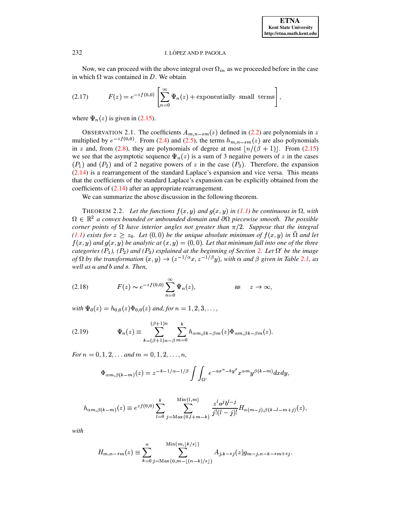Now, we can proceed with the above integral over  $\Omega_{in}$  as we proceeded before in the case in which  $\Omega$  was contained in D. We obtain

(2.17) 
$$
F(z) = e^{-z f(0,0)} \left[ \sum_{n=0}^{\infty} \Psi_n(z) + \text{exponentially small terms} \right]
$$

where  $\Psi_n(z)$  is given in (2.15).

OBSERVATION 2.1. The coefficients  $A_{m,n-sm}(z)$  defined in (2.2) are polynomials in z multiplied by  $e^{-zf(0,0)}$ . From (2.4) and (2.5), the terms  $h_{m,n-sm}(z)$  are also polynomials in z and, from (2.8), they are polynomials of degree at most  $\lfloor n/(\beta + 1) \rfloor$ . From (2.15) we see that the asymptotic sequence  $\Psi_n(z)$  is a sum of 3 negative powers of z in the cases  $(P_1)$  and  $(P_2)$  and of 2 negative powers of z in the case  $(P_3)$ . Therefore, the expansion  $(2.14)$  is a rearrangement of the standard Laplace's expansion and vice versa. This means that the coefficients of the standard Laplace's expansion can be explicitly obtained from the coefficients of  $(2.14)$  after an appropriate rearrangement.

We can summarize the above discussion in the following theorem.

<span id="page-8-1"></span>THEOREM 2.2. Let the functions  $f(x, y)$  and  $g(x, y)$  in (1.1) be continuous in  $\Omega$ , with  $\Omega \in \mathbb{R}^2$  a convex bounded or unbounded domain and  $\partial \Omega$  piecewise smooth. The possible corner points of  $\Omega$  have interior angles not greater than  $\pi/2$ . Suppose that the integral  $(1.1)$  exists for  $z \ge z_0$ . Let  $(0,0)$  be the unique absolute minimum of  $f(x,y)$  in  $\overline{\Omega}$  and let  $f(x, y)$  and  $g(x, y)$  be analytic at  $(x, y) = (0, 0)$ . Let that minimum fall into one of the three categories (P<sub>1</sub>), (P<sub>2</sub>) and (P<sub>3</sub>) explained at the beginning of Section 2. Let  $\Omega'$  be the image of  $\Omega$  by the transformation  $(x, y) \rightarrow (z^{-1/\alpha}x, z^{-1/\beta}y)$ , with  $\alpha$  and  $\beta$  given in Table 2.1, as well as a and b and s. Then,

<span id="page-8-0"></span>(2.18) 
$$
F(z) \sim e^{-zf(0,0)} \sum_{n=0}^{\infty} \Psi_n(z), \qquad \text{as} \quad z \to \infty,
$$

with  $\Psi_0(z) = h_{0,0}(z)\Phi_{0,0}(z)$  and, for  $n = 1, 2, 3, \ldots$ ,

(2.19) 
$$
\Psi_n(z) \equiv \sum_{k=(\beta+1)n-\beta}^{(\beta+1)n} \sum_{m=0}^k h_{\alpha m,\beta k-\beta m}(z) \Phi_{\alpha m,\beta k-\beta m}(z).
$$

For  $n = 0, 1, 2, \ldots$  and  $m = 0, 1, 2, \ldots, n$ ,

$$
\Phi_{\alpha m,\beta(k-m)}(z) = z^{-k-1/\alpha-1/\beta} \int \int_{\Omega'} e^{-ax^{\alpha}-by^{\beta}} x^{\alpha m} y^{\beta(k-m)} dx dy,
$$

$$
h_{\alpha m,\beta(k-m)}(z) \equiv e^{zf(0,0)} \sum_{l=0}^{k} \sum_{j=\text{Max}\{0,l+m-k\}}^{\text{Min}\{l,m\}} \frac{z^{l} a^j b^{l-j}}{j!(l-j)!} H_{\alpha(m-j),\beta(k-l-m+j)}(z),
$$

with

$$
H_{m,n-sm}(z) \equiv \sum_{k=0}^{n} \sum_{j=\text{Max}\{0,m-\lfloor (n-k)/s \rfloor\}}^{\text{Min}\{m,\lfloor k/s \rfloor\}} A_{j,k-sj}(z) g_{m-j,n-k-sm+sj}.
$$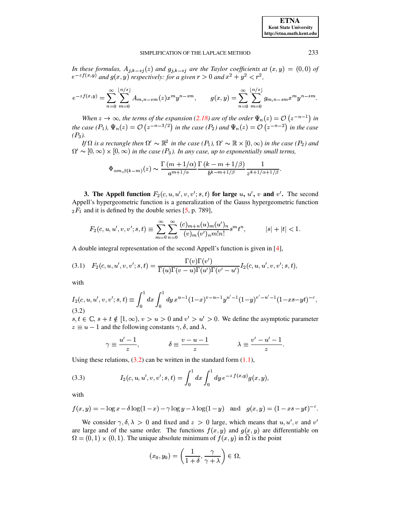In these formulas,  $A_{j,k-sj}(z)$  and  $g_{j,k-sj}$  are the Taylor coefficients at  $(x,y) = (0,0)$  of  $e^{-z f(x,y)}$  and  $g(x,y)$  respectively: for a given  $r > 0$  and  $x^2 + y^2 < r^2$ ,

$$
e^{-zf(x,y)} = \sum_{n=0}^{\infty} \sum_{m=0}^{\lfloor n/s \rfloor} A_{m,n-sm}(z) x^m y^{n-sm}, \qquad g(x,y) = \sum_{n=0}^{\infty} \sum_{m=0}^{\lfloor n/s \rfloor} g_{m,n-sm} x^m y^{n-sm}.
$$

When  $z \to \infty$ , the terms of the expansion (2.18) are of the order  $\Psi_n(z) = O(z^{-n-1})$  in the case  $(P_1)$ ,  $\Psi_n(z) = O\left(z^{-n-3/2}\right)$  in the case  $(P_2)$  and  $\Psi_n(z) = O\left(z^{-n-2}\right)$  in the case  $(P_3)$ .

If  $\Omega$  is a rectangle then  $\Omega' \sim \mathbb{R}^2$  in the case  $(P_1)$ ,  $\Omega' \sim \mathbb{R} \times [0, \infty)$  in the case  $(P_2)$  and  $\Omega' \sim [0,\infty) \times [0,\infty)$  in the case (P<sub>3</sub>). In any case, up to exponentially small terms,

$$
\Phi_{\alpha m,\beta(k-m)}(z)\sim\frac{\Gamma\left(m+1/\alpha\right)}{a^{m+1/\alpha}}\frac{\Gamma\left(k-m+1/\beta\right)}{b^{k-m+1/\beta}}\frac{1}{z^{k+1/\alpha+1/\beta}}
$$

<span id="page-9-0"></span>**3.** The Appell function  $F_2(c, u, u', v, v'; s, t)$  for large u, u', v and v'. The second Appell's hypergeometric function is a generalization of the Gauss hypergeometric function  $_2F_1$  and it is defined by the double series [5, p. 789],

$$
F_2(c, u, u', v, v'; s, t) \equiv \sum_{m=0}^{\infty} \sum_{n=0}^{\infty} \frac{(c)_{m+n}(u)_m(u')_n}{(v)_m(v')_n m! n!} s^m t^n, \qquad |s| + |t| < 1.
$$

A double integral representation of the second Appell's function is given in  $[4]$ ,

(3.1) 
$$
F_2(c, u, u', v, v'; s, t) = \frac{\Gamma(v)\Gamma(v')}{\Gamma(u)\Gamma(v - u)\Gamma(u')\Gamma(v' - u')} I_2(c, u, u', v, v'; s, t),
$$

with

<span id="page-9-1"></span>
$$
I_2(c, u, u', v, v'; s, t) \equiv \int_0^1 dx \int_0^1 dy \, x^{u-1} (1-x)^{v-u-1} y^{u'-1} (1-y)^{v'-u'-1} (1-xs-yt)^{-c},
$$
\n(3.2)

 $s, t \in \mathbb{C}, s + t \notin [1, \infty), v > u > 0$  and  $v' > u' > 0$ . We define the asymptotic parameter  $z \equiv u - 1$  and the following constants  $\gamma$ ,  $\delta$ , and  $\lambda$ ,

$$
\gamma \equiv \frac{u'-1}{z}, \qquad \qquad \delta \equiv \frac{v-u-1}{z} \qquad \qquad \lambda \equiv \frac{v'-u'-1}{z}.
$$

Using these relations,  $(3.2)$  can be written in the standard form  $(1.1)$ ,

(3.3) 
$$
I_2(c, u, u', v, v'; s, t) = \int_0^1 dx \int_0^1 dy e^{-z f(x, y)} g(x, y),
$$

with

$$
f(x,y) = -\log x - \delta \log(1-x) - \gamma \log y - \lambda \log(1-y)
$$
 and  $g(x,y) = (1 - xs - yt)^{-c}$ .

We consider  $\gamma, \delta, \lambda > 0$  and fixed and  $z > 0$  large, which means that  $u, u', v$  and  $v'$ are large and of the same order. The functions  $f(x, y)$  and  $g(x, y)$  are differentiable on  $\Omega = (0, 1) \times (0, 1)$ . The unique absolute minimum of  $f(x, y)$  in  $\overline{\Omega}$  is the point

$$
(x_0,y_0)=\left(\frac{1}{1+\delta},\frac{\gamma}{\gamma+\lambda}\right)\in\Omega,
$$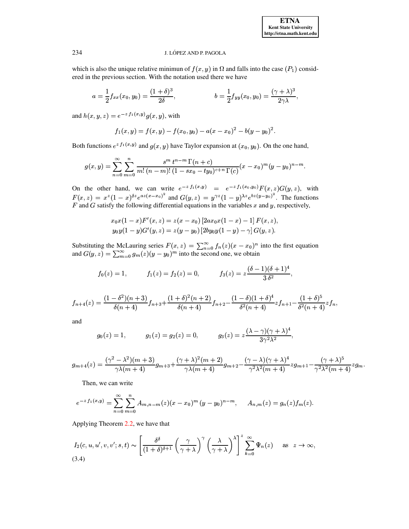which is also the unique relative minimum of  $f(x, y)$  in  $\Omega$  and falls into the case  $(P_1)$  considered in the previous section. With the notation used there we have

$$
a = \frac{1}{2} f_{xx}(x_0, y_0) = \frac{(1+\delta)^3}{2\delta}, \qquad b = \frac{1}{2} f_{yy}(x_0, y_0) = \frac{(\gamma + \lambda)^3}{2\gamma \lambda},
$$

and  $h(x, y, z) = e^{-z f_1(x, y)} g(x, y)$ , with

$$
f_1(x,y) = f(x,y) - f(x_0,y_0) - a(x-x_0)^2 - b(y-y_0)^2.
$$

Both functions  $e^{z f_1(x,y)}$  and  $g(x,y)$  have Taylor expansion at  $(x_0, y_0)$ . On the one hand,

$$
g(x,y) = \sum_{n=0}^{\infty} \sum_{m=0}^{n} \frac{s^m t^{n-m} \Gamma(n+c)}{m! (n-m)!(1 - sx_0 - ty_0)^{c+n} \Gamma(c)} (x - x_0)^m (y - y_0)^{n-m}.
$$

On the other hand, we can write  $e^{-z f_1(x,y)} = e^{-z f_1(x_0,y_0)} F(x,z) G(y,z)$ , with  $F(x,z) = x^z (1-x)^{\delta z} e^{az(x-x_0)^2}$  and  $G(y,z) = y^{\gamma z} (1-y)^{\lambda z} e^{bz(y-y_0)^2}$ . The functions  $F$  and  $G$  satisfy the following differential equations in the variables  $x$  and  $y$ , respectively,

$$
x_0x(1-x)F'(x, z) = z(x-x_0) [2ax_0x(1-x) - 1] F(x, z),
$$
  
\n
$$
y_0y(1-y)G'(y, z) = z(y-y_0) [2by_0y(1-y) - \gamma] G(y, z).
$$

Substituting the McLauring series  $F(x, z) = \sum_{n=0}^{\infty} f_n(z)(x - x_0)^n$  into the first equation and  $G(y, z) = \sum_{m=0}^{\infty} g_m(z)(y - y_0)^m$  into the second one, we obtain

$$
f_0(z) = 1,
$$
  $f_1(z) = f_2(z) = 0,$   $f_3(z) = z \frac{(\delta - 1)(\delta + 1)^4}{3 \delta^2},$ 

$$
f_{n+4}(z)=\frac{(1-\delta^2)(n+3)}{\delta(n+4)}f_{n+3}+\frac{(1+\delta)^2(n+2)}{\delta(n+4)}f_{n+2}-\frac{(1-\delta)(1+\delta)^4}{\delta^2(n+4)}zf_{n+1}-\frac{(1+\delta)^5}{\delta^2(n+4)}zf_n,
$$

and

$$
g_0(z) = 1,
$$
  $g_1(z) = g_2(z) = 0,$   $g_3(z) = z \frac{(\lambda - \gamma)(\gamma + \lambda)^4}{3\gamma^2 \lambda^2},$ 

$$
g_{m+4}(z)=\frac{(\gamma^2-\lambda^2)(m+3)}{\gamma\lambda(m+4)}g_{m+3}+\frac{(\gamma+\lambda)^2(m+2)}{\gamma\lambda(m+4)}g_{m+2}-\frac{(\gamma-\lambda)(\gamma+\lambda)^4}{\gamma^2\lambda^2(m+4)}zg_{m+1}-\frac{(\gamma+\lambda)^5}{\gamma^2\lambda^2(m+4)}zg_{m+1}
$$

Then, we can write

$$
e^{-z\,f_1(x,y)} = \sum_{n=0}^{\infty} \sum_{m=0}^{n} A_{m,n-m}(z)(x-x_0)^m (y-y_0)^{n-m}, \quad A_{n,m}(z) = g_n(z)f_m(z).
$$

Applying Theorem 2.2, we have that

<span id="page-10-0"></span>
$$
I_2(c, u, u', v, v'; s, t) \sim \left[\frac{\delta^{\delta}}{(1+\delta)^{\delta+1}} \left(\frac{\gamma}{\gamma+\lambda}\right)^{\gamma} \left(\frac{\lambda}{\gamma+\lambda}\right)^{\lambda}\right]^z \sum_{k=0}^{\infty} \Psi_n(z) \quad \text{as } z \to \infty,
$$
\n(3.4)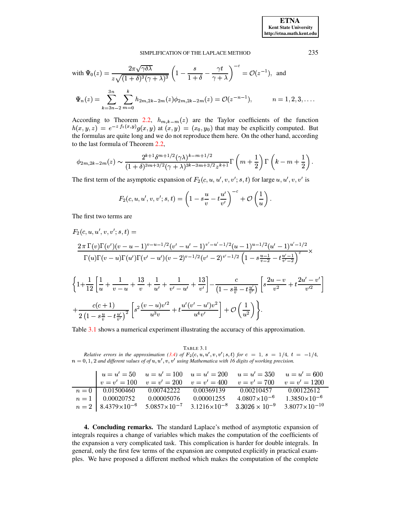with 
$$
\Psi_0(z) = \frac{2\pi\sqrt{\gamma\delta\lambda}}{z\sqrt{(1+\delta)^3(\gamma+\lambda)^3}} \left(1 - \frac{s}{1+\delta} - \frac{\gamma t}{\gamma+\lambda}\right)^{-c} = \mathcal{O}(z^{-1}),
$$
 and  
\n
$$
\Psi_n(z) = \sum_{k=3n-2}^{3n} \sum_{m=0}^{k} h_{2m,2k-2m}(z)\phi_{2m,2k-2m}(z) = \mathcal{O}(z^{-n-1}), \qquad n = 1, 2, 3, ...
$$

According to Theorem 2.2,  $h_{m,k-m}(z)$  are the Taylor coefficients of the function  $h(x, y, z) = e^{-z f_1(x, y)} g(x, y)$  at  $(x, y) = (x_0, y_0)$  that may be explicitly computed. But the formulas are quite long and we do not reproduce them here. On the other hand, according to the last formula of Theorem 2.2,

$$
\phi_{2m,2k-2m}(z) \sim \frac{2^{k+1} \delta^{m+1/2} (\gamma \lambda)^{k-m+1/2}}{(1+\delta)^{3m+3/2} (\gamma + \lambda)^{3k-3m+3/2} z^{k+1}} \Gamma\left(m+\frac{1}{2}\right) \Gamma\left(k-m+\frac{1}{2}\right).
$$

The first term of the asymptotic expansion of  $F_2(c, u, u', v, v'; s, t)$  for large  $u, u', v, v'$  is

$$
F_2(c, u, u', v, v'; s, t) = \left(1 - s \frac{u}{v} - t \frac{u'}{v'}\right)^{-c} + \mathcal{O}\left(\frac{1}{u}\right).
$$

The first two terms are

$$
F_2(c, u, u', v, v'; s, t) =
$$
\n
$$
\frac{2 \pi \Gamma(v) \Gamma(v')(v - u - 1)^{v - u - 1/2} (v' - u' - 1)^{v' - u' - 1/2} (u - 1)^{u - 1/2} (u' - 1)^{u' - 1/2}}{\Gamma(u) \Gamma(v - u) \Gamma(u') \Gamma(v' - u')(v - 2)^{v - 1/2} (v' - 2)^{v' - 1/2} \left(1 - s \frac{u - 1}{v - 2} - t \frac{u' - 1}{v' - 2}\right)^{c}}
$$
\n
$$
\left\{ 1 + \frac{1}{12} \left[ \frac{1}{u} + \frac{1}{v - u} + \frac{13}{v} + \frac{1}{u'} + \frac{1}{v' - u'} + \frac{13}{v'} \right] - \frac{c}{(1 - s \frac{u}{v} - t \frac{u'}{v'})} \left[ s \frac{2u - v}{v^2} + t \frac{2u' - v'}{v'^2} + \frac{c(c + 1)}{2(1 - s \frac{u}{v} - t \frac{u'}{v'})^2} \left[ s^2 \frac{(v - u)v'^2}{u^3 v} + t \frac{u'(v' - u')v^2}{u^4 v'} \right] + \mathcal{O}\left(\frac{1}{u^2}\right) \right\}.
$$

## Table 3.1 shows a numerical experiment illustrating the accuracy of this approximation.

<span id="page-11-1"></span>TABLE 3.1 Relative errors in the approximation (3.4) of  $F_2(c, u, u', v, v'; s, t)$  for  $c = 1, s = 1/4, t = -1/4$ ,  $n = 0, 1, 2$  and different values of of u, u', v, v' using Mathematica with 16 digits of working precision.

|                                 |            |            | $u = u' = 50$ $u = u' = 100$ $u = u' = 200$ $u = u' = 350$ $u = u' = 600$                                                          |                         |
|---------------------------------|------------|------------|------------------------------------------------------------------------------------------------------------------------------------|-------------------------|
|                                 |            |            | $v = v' = 100$ $v = v' = 200$ $v = v' = 400$ $v = v' = 700$ $v = v' = 1200$                                                        |                         |
| $n = 0$   0.01500460 0.00742222 |            | 0.00369139 | 0.00210457 0.00122612                                                                                                              |                         |
| $n = 1 \mid 0.00020752$         | 0.00005076 | 0.00001255 | $4.0807 \times 10^{-6}$                                                                                                            | $1.3850 \times 10^{-6}$ |
|                                 |            |            | $n = 2$   $8.4379 \times 10^{-6}$ $5.0857 \times 10^{-7}$ $3.1216 \times 10^{-8}$ $3.3026 \times 10^{-9}$ $3.8077 \times 10^{-10}$ |                         |

<span id="page-11-0"></span>4. Concluding remarks. The standard Laplace's method of asymptotic expansion of integrals requires a change of variables which makes the computation of the coefficients of the expansion a very complicated task. This complication is harder for double integrals. In general, only the first few terms of the expansion are computed explicitly in practical examples. We have proposed a different method which makes the computation of the complete